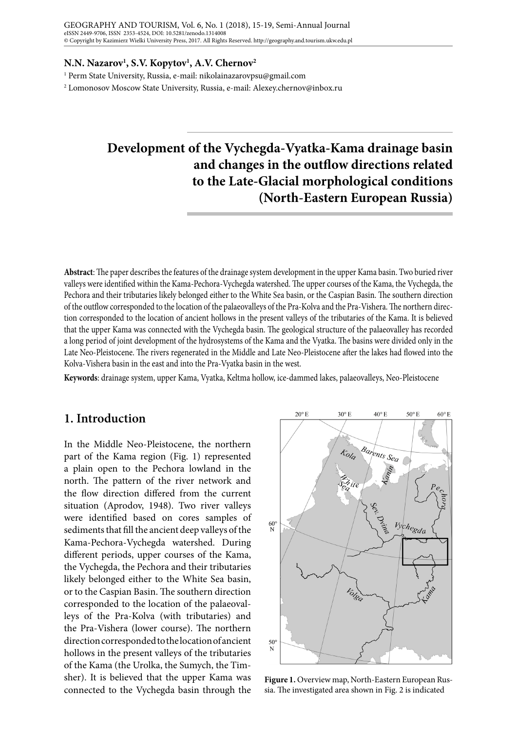#### **N.N. Nazarov1 , S.V. Kopytov1 , A.V. Chernov2**

1 Perm State University, Russia, e-mail: nikolainazarovpsu@gmail.com

2 Lomonosov Moscow State University, Russia, e-mail: Alexey.chernov@inbox.ru

# **Development of the Vychegda-Vyatka-Kama drainage basin and changes in the outflow directions related to the Late-Glacial morphological conditions (North-Eastern European Russia)**

**Abstract**: The paper describes the features of the drainage system development in the upper Kama basin. Two buried river valleys were identified within the Kama-Pechora-Vychegda watershed. The upper courses of the Kama, the Vychegda, the Pechora and their tributaries likely belonged either to the White Sea basin, or the Caspian Basin. The southern direction of the outflow corresponded to the location of the palaeovalleys of the Pra-Kolva and the Pra-Vishera. The northern direction corresponded to the location of ancient hollows in the present valleys of the tributaries of the Kama. It is believed that the upper Kama was connected with the Vychegda basin. The geological structure of the palaeovalley has recorded a long period of joint development of the hydrosystems of the Kama and the Vyatka. The basins were divided only in the Late Neo-Pleistocene. The rivers regenerated in the Middle and Late Neo-Pleistocene after the lakes had flowed into the Kolva-Vishera basin in the east and into the Pra-Vyatka basin in the west.

**Keywords**: drainage system, upper Kama, Vyatka, Keltma hollow, ice-dammed lakes, palaeovalleys, Neo-Pleistocene

## **1. Introduction**

In the Middle Neo-Pleistocene, the northern part of the Kama region (Fig. 1) represented a plain open to the Pechora lowland in the north. The pattern of the river network and the flow direction differed from the current situation (Aprodov, 1948). Two river valleys were identified based on cores samples of sediments that fill the ancient deep valleys of the Kama-Pechora-Vychegda watershed. During different periods, upper courses of the Kama, the Vychegda, the Pechora and their tributaries likely belonged either to the White Sea basin, or to the Caspian Basin. The southern direction corresponded to the location of the palaeovalleys of the Pra-Kolva (with tributaries) and the Pra-Vishera (lower course). The northern direction corresponded to the location of ancient hollows in the present valleys of the tributaries of the Kama (the Urolka, the Sumych, the Timsher). It is believed that the upper Kama was connected to the Vychegda basin through the



**Figure 1.** Overview map, North-Eastern European Russia. The investigated area shown in Fig. 2 is indicated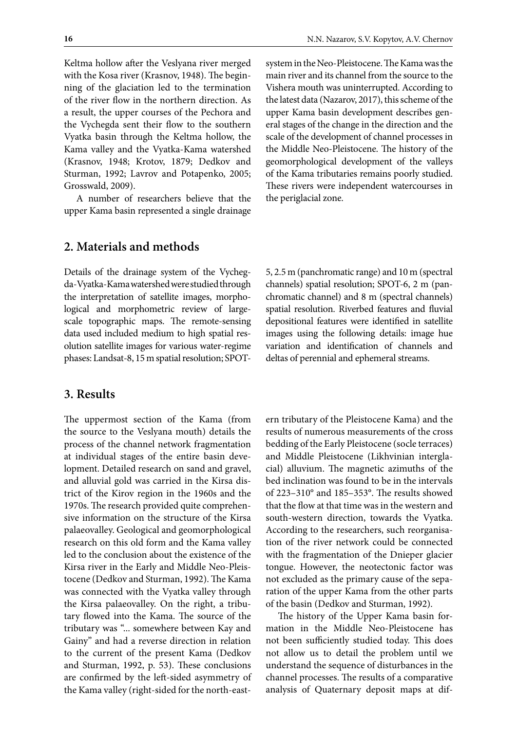Keltma hollow after the Veslyana river merged with the Kosa river (Krasnov, 1948). The beginning of the glaciation led to the termination of the river flow in the northern direction. As a result, the upper courses of the Pechora and the Vychegda sent their flow to the southern Vyatka basin through the Keltma hollow, the Kama valley and the Vyatka-Kama watershed (Krasnov, 1948; Krotov, 1879; Dedkov and Sturman, 1992; Lavrov and Potapenko, 2005; Grosswald, 2009).

A number of researchers believe that the upper Kama basin represented a single drainage system in the Neo-Pleistocene. The Kama was the main river and its channel from the source to the Vishera mouth was uninterrupted. According to the latest data (Nazarov, 2017), this scheme of the upper Kama basin development describes general stages of the change in the direction and the scale of the development of channel processes in the Middle Neo-Pleistocene. The history of the geomorphological development of the valleys of the Kama tributaries remains poorly studied. These rivers were independent watercourses in the periglacial zone.

## **2. Materials and methods**

Details of the drainage system of the Vychegda-Vyatka-Kama watershed were studied through the interpretation of satellite images, morphological and morphometric review of largescale topographic maps. The remote-sensing data used included medium to high spatial resolution satellite images for various water-regime phases: Landsat-8, 15 m spatial resolution; SPOT-

#### **3. Results**

The uppermost section of the Kama (from the source to the Veslyana mouth) details the process of the channel network fragmentation at individual stages of the entire basin development. Detailed research on sand and gravel, and alluvial gold was carried in the Kirsa district of the Kirov region in the 1960s and the 1970s. The research provided quite comprehensive information on the structure of the Kirsa palaeovalley. Geological and geomorphological research on this old form and the Kama valley led to the conclusion about the existence of the Kirsa river in the Early and Middle Neo-Pleistocene (Dedkov and Sturman, 1992). The Kama was connected with the Vyatka valley through the Kirsa palaeovalley. On the right, a tributary flowed into the Kama. The source of the tributary was "... somewhere between Kay and Gainy" and had a reverse direction in relation to the current of the present Kama (Dedkov and Sturman, 1992, p. 53). These conclusions are confirmed by the left-sided asymmetry of the Kama valley (right-sided for the north-east5, 2.5 m (panchromatic range) and 10 m (spectral channels) spatial resolution; SPOT-6, 2 m (panchromatic channel) and 8 m (spectral channels) spatial resolution. Riverbed features and fluvial depositional features were identified in satellite images using the following details: image hue variation and identification of channels and deltas of perennial and ephemeral streams.

ern tributary of the Pleistocene Kama) and the results of numerous measurements of the cross bedding of the Early Pleistocene (socle terraces) and Middle Pleistocene (Likhvinian interglacial) alluvium. The magnetic azimuths of the bed inclination was found to be in the intervals of 223–310° and 185–353°. The results showed that the flow at that time was in the western and south-western direction, towards the Vyatka. According to the researchers, such reorganisation of the river network could be connected with the fragmentation of the Dnieper glacier tongue. However, the neotectonic factor was not excluded as the primary cause of the separation of the upper Kama from the other parts of the basin (Dedkov and Sturman, 1992).

The history of the Upper Kama basin formation in the Middle Neo-Pleistocene has not been sufficiently studied today. This does not allow us to detail the problem until we understand the sequence of disturbances in the channel processes. The results of a comparative analysis of Quaternary deposit maps at dif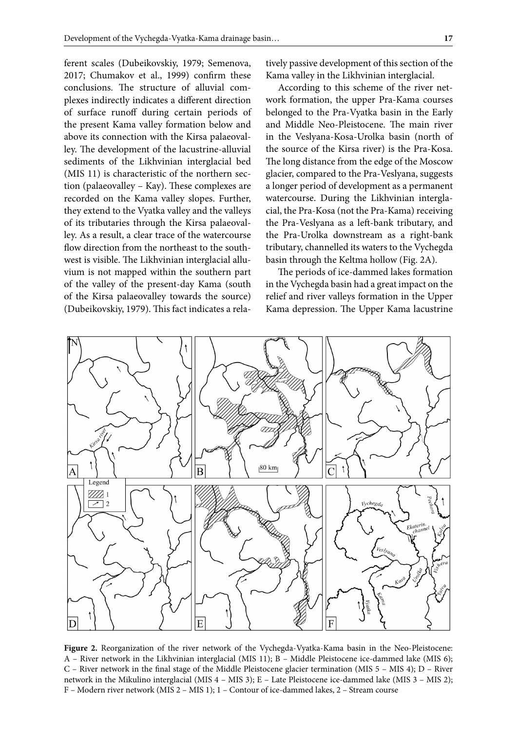ferent scales (Dubeikovskiy, 1979; Semenova, 2017; Chumakov et al., 1999) confirm these conclusions. The structure of alluvial complexes indirectly indicates a different direction of surface runoff during certain periods of the present Kama valley formation below and above its connection with the Kirsa palaeovalley. The development of the lacustrine-alluvial sediments of the Likhvinian interglacial bed (MIS 11) is characteristic of the northern section (palaeovalley – Kay). These complexes are recorded on the Kama valley slopes. Further, they extend to the Vyatka valley and the valleys of its tributaries through the Kirsa palaeovalley. As a result, a clear trace of the watercourse flow direction from the northeast to the southwest is visible. The Likhvinian interglacial alluvium is not mapped within the southern part of the valley of the present-day Kama (south of the Kirsa palaeovalley towards the source) (Dubeikovskiy, 1979). This fact indicates a relatively passive development of this section of the Kama valley in the Likhvinian interglacial.

According to this scheme of the river network formation, the upper Pra-Kama courses belonged to the Pra-Vyatka basin in the Early and Middle Neo-Pleistocene. The main river in the Veslyana-Kosa-Urolka basin (north of the source of the Kirsa river) is the Pra-Kosa. The long distance from the edge of the Moscow glacier, compared to the Pra-Veslyana, suggests a longer period of development as a permanent watercourse. During the Likhvinian interglacial, the Pra-Kosa (not the Pra-Kama) receiving the Pra-Veslyana as a left-bank tributary, and the Pra-Urolka downstream as a right-bank tributary, channelled its waters to the Vychegda basin through the Keltma hollow (Fig. 2A).

The periods of ice-dammed lakes formation in the Vychegda basin had a great impact on the relief and river valleys formation in the Upper Kama depression. The Upper Kama lacustrine



**Figure 2.** Reorganization of the river network of the Vychegda-Vyatka-Kama basin in the Neo-Pleistocene: A – River network in the Likhvinian interglacial (MIS 11); B – Middle Pleistocene ice-dammed lake (MIS 6); C – River network in the final stage of the Middle Pleistocene glacier termination (MIS 5 – MIS 4); D – River network in the Mikulino interglacial (MIS 4 – MIS 3); E – Late Pleistocene ice-dammed lake (MIS 3 – MIS 2); F – Modern river network (MIS 2 – MIS 1); 1 – Contour of ice-dammed lakes, 2 – Stream course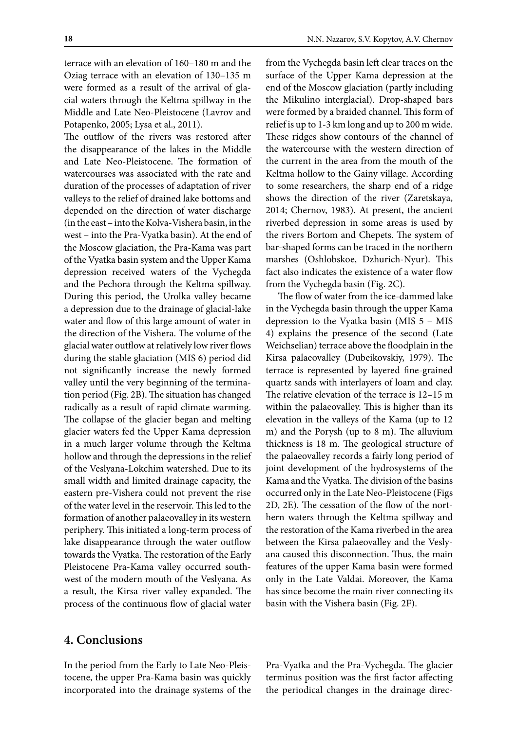terrace with an elevation of 160–180 m and the Oziag terrace with an elevation of 130–135 m were formed as a result of the arrival of glacial waters through the Keltma spillway in the Middle and Late Neo-Pleistocene (Lavrov and Potapenko, 2005; Lysa et al., 2011).

The outflow of the rivers was restored after the disappearance of the lakes in the Middle and Late Neo-Pleistocene. The formation of watercourses was associated with the rate and duration of the processes of adaptation of river valleys to the relief of drained lake bottoms and depended on the direction of water discharge (in the east – into the Kolva-Vishera basin, in the west – into the Pra-Vyatka basin). At the end of the Moscow glaciation, the Pra-Kama was part of the Vyatka basin system and the Upper Kama depression received waters of the Vychegda and the Pechora through the Keltma spillway. During this period, the Urolka valley became a depression due to the drainage of glacial-lake water and flow of this large amount of water in the direction of the Vishera. The volume of the glacial water outflow at relatively low river flows during the stable glaciation (MIS 6) period did not significantly increase the newly formed valley until the very beginning of the termination period (Fig. 2B). The situation has changed radically as a result of rapid climate warming. The collapse of the glacier began and melting glacier waters fed the Upper Kama depression in a much larger volume through the Keltma hollow and through the depressions in the relief of the Veslyana-Lokchim watershed. Due to its small width and limited drainage capacity, the eastern pre-Vishera could not prevent the rise of the water level in the reservoir. This led to the formation of another palaeovalley in its western periphery. This initiated a long-term process of lake disappearance through the water outflow towards the Vyatka. The restoration of the Early Pleistocene Pra-Kama valley occurred southwest of the modern mouth of the Veslyana. As a result, the Kirsa river valley expanded. The process of the continuous flow of glacial water

from the Vychegda basin left clear traces on the surface of the Upper Kama depression at the end of the Moscow glaciation (partly including the Mikulino interglacial). Drop-shaped bars were formed by a braided channel. This form of relief is up to 1-3 km long and up to 200 m wide. These ridges show contours of the channel of the watercourse with the western direction of the current in the area from the mouth of the Keltma hollow to the Gainy village. According to some researchers, the sharp end of a ridge shows the direction of the river (Zaretskaya, 2014; Chernov, 1983). At present, the ancient riverbed depression in some areas is used by the rivers Bortom and Chepets. The system of bar-shaped forms can be traced in the northern marshes (Oshlobskoe, Dzhurich-Nyur). This fact also indicates the existence of a water flow from the Vychegda basin (Fig. 2C).

The flow of water from the ice-dammed lake in the Vychegda basin through the upper Kama depression to the Vyatka basin (MIS 5 – MIS 4) explains the presence of the second (Late Weichselian) terrace above the floodplain in the Kirsa palaeovalley (Dubeikovskiy, 1979). The terrace is represented by layered fine-grained quartz sands with interlayers of loam and clay. The relative elevation of the terrace is 12–15 m within the palaeovalley. This is higher than its elevation in the valleys of the Kama (up to 12 m) and the Porysh (up to 8 m). The alluvium thickness is 18 m. The geological structure of the palaeovalley records a fairly long period of joint development of the hydrosystems of the Kama and the Vyatka. The division of the basins occurred only in the Late Neo-Pleistocene (Figs 2D, 2E). The cessation of the flow of the northern waters through the Keltma spillway and the restoration of the Kama riverbed in the area between the Kirsa palaeovalley and the Veslyana caused this disconnection. Thus, the main features of the upper Kama basin were formed only in the Late Valdai. Moreover, the Kama has since become the main river connecting its basin with the Vishera basin (Fig. 2F).

## **4. Conclusions**

In the period from the Early to Late Neo-Pleistocene, the upper Pra-Kama basin was quickly incorporated into the drainage systems of the Pra-Vyatka and the Pra-Vychegda. The glacier terminus position was the first factor affecting the periodical changes in the drainage direc-